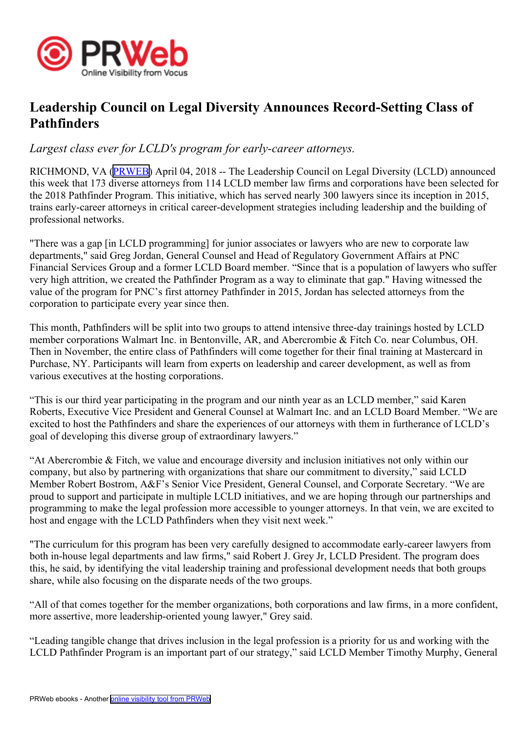

## **Leadership Council on Legal Diversity Announces Record-Setting Class of Pathfinders**

*Largest class ever for LCLD's program for early-career attorneys.*

RICHMOND, VA ([PRWEB](http://www.prweb.com)) April 04, 2018 -- The Leadership Council on Legal Diversity (LCLD) announced this week that 173 diverse attorneys from 114 LCLD member law firms and corporations have been selected for the 2018 Pathfinder Program. This initiative, which has served nearly 300 lawyers since its inception in 2015, trains early-career attorneys in critical career-development strategies including leadership and the building of professional networks.

"There was <sup>a</sup> gap [in LCLD programming] for junior associates or lawyers who are new to corporate law departments," said Greg Jordan, General Counsel and Head of Regulatory Government Affairs at PNC Financial Services Group and <sup>a</sup> former LCLD Board member. "Since that is <sup>a</sup> population of lawyers who suffer very high attrition, we created the Pathfinder Program as <sup>a</sup> way to eliminate that gap." Having witnessed the value of the program for PNC's first attorney Pathfinder in 2015, Jordan has selected attorneys from the corporation to participate every year since then.

This month, Pathfinders will be split into two groups to attend intensive three-day trainings hosted by LCLD member corporations Walmart Inc. in Bentonville, AR, and Abercrombie & Fitch Co. near Columbus, OH. Then in November, the entire class of Pathfinders will come together for their final training at Mastercard in Purchase, NY. Participants will learn from experts on leadership and career development, as well as from various executives at the hosting corporations.

"This is our third year participating in the program and our ninth year as an LCLD member," said Karen Roberts, Executive Vice President and General Counsel at Walmart Inc. and an LCLD Board Member. "We are excited to host the Pathfinders and share the experiences of our attorneys with them in furtherance of LCLD's goal of developing this diverse group of extraordinary lawyers."

"At Abercrombie & Fitch, we value and encourage diversity and inclusion initiatives not only within our company, but also by partnering with organizations that share our commitment to diversity," said LCLD Member Robert Bostrom, A&F's Senior Vice President, General Counsel, and Corporate Secretary. "We are proud to suppor<sup>t</sup> and participate in multiple LCLD initiatives, and we are hoping through our partnerships and programming to make the legal profession more accessible to younger attorneys. In that vein, we are excited to host and engage with the LCLD Pathfinders when they visit next week."

"The curriculum for this program has been very carefully designed to accommodate early-career lawyers from both in-house legal departments and law firms," said Robert J. Grey Jr, LCLD President. The program does this, he said, by identifying the vital leadership training and professional development needs that both groups share, while also focusing on the disparate needs of the two groups.

"All of that comes together for the member organizations, both corporations and law firms, in <sup>a</sup> more confident, more assertive, more leadership-oriented young lawyer," Grey said.

"Leading tangible change that drives inclusion in the legal profession is <sup>a</sup> priority for us and working with the LCLD Pathfinder Program is an important par<sup>t</sup> of our strategy," said LCLD Member Timothy Murphy, General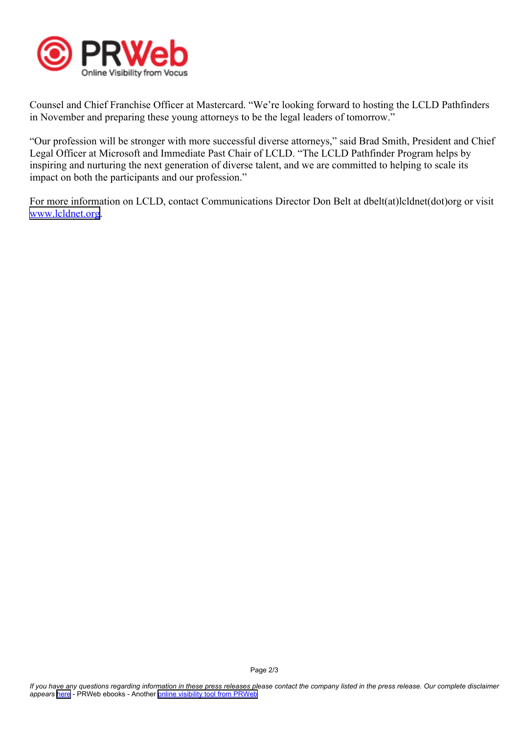

Counsel and Chief Franchise Officer at Mastercard. "We're looking forward to hosting the LCLD Pathfinders in November and preparing these young attorneys to be the legal leaders of tomorrow."

"Our profession will be stronger with more successful diverse attorneys," said Brad Smith, President and Chief Legal Officer at Microsoft and Immediate Past Chair of LCLD. "The LCLD Pathfinder Program helps by inspiring and nurturing the next generation of diverse talent, and we are committed to helping to scale its impact on both the participants and our profession."

For more information on LCLD, contact Communications Director Don Belt at dbelt(at)lcldnet(dot)org or visit [www.lcldnet.org](http://www.lcldnet.org).